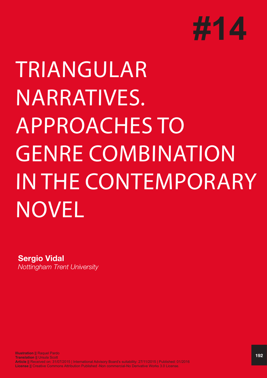

# TRIANGULAR NARRATIVES. APPROACHES TO GENRE COMBINATION IN THE CONTEMPORARY NOVEL

**Sergio Vidal**

*Nottingham Trent University*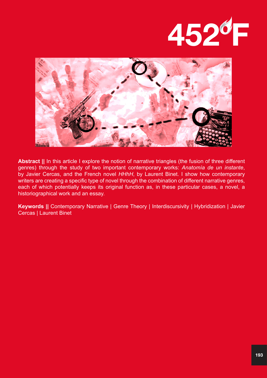



**Abstract ||** In this article I explore the notion of narrative triangles (the fusion of three different genres) through the study of two important contemporary works: *Anatomía de un instante*, by Javier Cercas, and the French novel *HHhH*, by Laurent Binet. I show how contemporary writers are creating a specific type of novel through the combination of different narrative genres, each of which potentially keeps its original function as, in these particular cases, a novel, a historiographical work and an essay.

**Keywords ||** Contemporary Narrative | Genre Theory | Interdiscursivity | Hybridization | Javier Cercas | Laurent Binet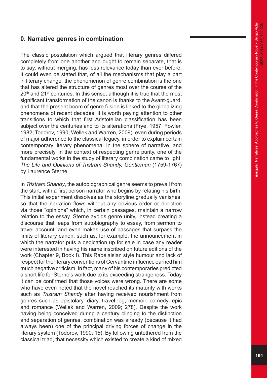## **0. Narrative genres in combination**

The classic postulation which argued that literary genres differed completely from one another and ought to remain separate, that is to say, without merging, has less relevance today than ever before. It could even be stated that, of all the mechanisms that play a part in literary change, the phenomenon of genre combination is the one that has altered the structure of genres most over the course of the  $20<sup>th</sup>$  and  $21<sup>st</sup>$  centuries. In this sense, although it is true that the most significant transformation of the canon is thanks to the Avant-guard, and that the present boom of genre fusion is linked to the globalizing phenomena of recent decades, it is worth paying attention to other transitions to which that first Aristotelian classification has been subject over the centuries and to its alterations (Frye, 1957; Fowler, 1982; Todorov, 1990; Wellek and Warren, 2009), even during periods of major adherence to the classical legacy, in order to explain certain contemporary literary phenomena. In the sphere of narrative, and more precisely, in the context of respecting genre purity, one of the fundamental works in the study of literary combination came to light: *The Life and Opinions of Tristram Shandy, Gentleman* (1759-1767) by Laurence Sterne.

In *Tristram Shandy*, the autobiographical genre seems to prevail from the start, with a first person narrator who begins by relating his birth. This initial experiment dissolves as the storyline gradually vanishes, so that the narration flows without any obvious order or direction via those "opinions" which, in certain passages, maintain a narrow relation to the essay. Sterne avoids genre unity, instead creating a discourse that leaps from autobiography to essay, from sermon to travel account, and even makes use of passages that surpass the limits of literary canon, such as, for example, the announcement in which the narrator puts a dedication up for sale in case any reader were interested in having his name inscribed on future editions of the work (Chapter 9, Book I). This Rabelaisian style humour and lack of respect for the literary conventions of Cervantine influence earned him much negative criticism. In fact, many of his contemporaries predicted a short life for Sterne's work due to its exceeding strangeness. Today it can be confirmed that those voices were wrong. There are some who have even noted that the novel reached its maturity with works such as *Tristram Shandy* after having received nourishment from genres such as epistolary, diary, travel log, memoir, comedy, epic and romance (Wellek and Warren, 2009; 278). Despite the work having being conceived during a century clinging to the distinction and separation of genres, combination was already (because it had always been) one of the principal driving forces of change in the literary system (Todorov, 1990: 15). By following untethered from the classical triad, that necessity which existed to create a kind of mixed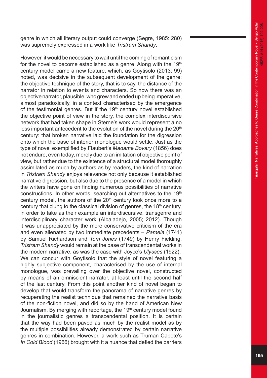genre in which all literary output could converge (Segre, 1985: 280) was supremely expressed in a work like *Tristram Shandy*.

However, it would be necessary to wait until the coming of romanticism for the novel to become established as a genre. Along with the  $19<sup>th</sup>$ century model came a new feature, which, as Goytisolo (2013: 99) noted, was decisive in the subsequent development of the genre: the objective technique of the story, that is to say, the distance of the narrator in relation to events and characters. So now there was an objective narrator, plausible, who grew and ended up being imperative, almost paradoxically, in a context characterised by the emergence of the testimonial genres. But if the  $19<sup>th</sup>$  century novel established the objective point of view in the story, the complex interdiscursive network that had taken shape in Sterne's work would represent a no less important antecedent to the evolution of the novel during the  $20<sup>th</sup>$ century: that broken narrative laid the foundation for the digression onto which the base of interior monologue would settle. Just as the type of novel exemplified by Flaubert's *Madame Bovary* (1856) does not endure, even today, merely due to an imitation of objective point of view, but rather due to the existence of a structural model thoroughly assimilated as much by authors as by readers, the kind of narration in *Tristram Shandy* enjoys relevance not only because it established narrative digression, but also due to the presence of a model in which the writers have gone on finding numerous possibilities of narrative constructions. In other words, searching out alternatives to the 19<sup>th</sup> century model, the authors of the  $20<sup>th</sup>$  century look once more to a century that clung to the classical division of genres, the 18<sup>th</sup> century, in order to take as their example an interdiscursive, transgenre and interdisciplinary character work (Albaladejo, 2005; 2012). Though it was unappreciated by the more conservative criticism of the era and even alienated by two immediate precedents – *Pamela* (1741) by Samuel Richardson and *Tom Jones* (1749) by Henry Fielding, *Tristram Shandy* would remain at the base of transcendental works in the modern narrative, as was the case with Joyce's *Ulysses* (1922). We can concur with Goytisolo that the style of novel featuring a highly subjective component, characterised by the use of internal monologue, was prevailing over the objective novel, constructed by means of an omniscient narrator, at least until the second half of the last century. From this point another kind of novel began to develop that would transform the panorama of narrative genres by recuperating the realist technique that remained the narrative basis of the non-fiction novel, and did so by the hand of American New Journalism. By merging with reportage, the 19<sup>th</sup> century model found in the journalistic genres a transcendental position. It is certain that the way had been paved as much by the realist model as by the multiple possibilities already demonstrated by certain narrative genres in combination. However, a work such as Truman Capote's *In Cold Blood* (1966) brought with it a nuance that defied the barriers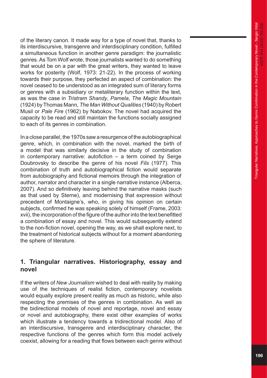of the literary canon. It made way for a type of novel that, thanks to its interdiscursive, transgenre and interdisciplinary condition, fulfilled a simultaneous function in another genre paradigm: the journalistic genres. As Tom Wolf wrote, those journalists wanted to do something that would be on a par with the great writers, they wanted to leave works for posterity (Wolf, 1973: 21-22). In the process of working towards their purpose, they perfected an aspect of combination: the novel ceased to be understood as an integrated sum of literary forms or genres with a subsidiary or metaliterary function within the text, as was the case in *Tristram Shandy*, *Pamela*, *The Magic Mountain*  (1924) by Thomas Mann, *The Man Without Qualities* (1940) by Robert Musil or *Pale Fire* (1962) by Nabokov. The novel had acquired the capacity to be read and still maintain the functions socially assigned to each of its genres in combination.

In a close parallel, the 1970s saw a resurgence of the autobiographical genre, which, in combination with the novel, marked the birth of a model that was similarly decisive in the study of combination in contemporary narrative: autofiction – a term coined by Serge Doubrovsky to describe the genre of his novel *Fils* (1977). This combination of truth and autobiographical fiction would separate from autobiography and fictional memoirs through the integration of author, narrator and character in a single narrative instance (Alberca, 2007). And so definitively leaving behind the narrative masks (such as that used by Sterne), and modernising that expression without precedent of Montaigne's, who, in giving his opinion on certain subjects, confirmed he was speaking solely of himself (Frame, 2003: xvii), the incorporation of the figure of the author into the text benefitted a combination of essay and novel. This would subsequently extend to the non-fiction novel, opening the way, as we shall explore next, to the treatment of historical subjects without for a moment abandoning the sphere of literature.

## **1. Triangular narratives. Historiography, essay and novel**

If the writers of *New Journalism* wished to deal with reality by making use of the techniques of realist fiction, contemporary novelists would equally explore present reality as much as historic, while also respecting the premises of the genres in combination. As well as the bidirectional models of novel and reportage, novel and essay or novel and autobiography, there exist other examples of works which illustrate a tendency towards a tridirectional model. Also of an interdiscursive, transgenre and interdisciplinary character, the respective functions of the genres which form this model actively coexist, allowing for a reading that flows between each genre without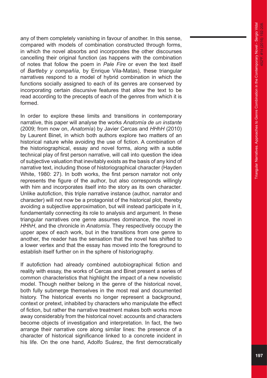any of them completely vanishing in favour of another. In this sense, compared with models of combination constructed through forms, in which the novel absorbs and incorporates the other discourses cancelling their original function (as happens with the combination of notes that follow the poem in *Pale Fire* or even the text itself of *Bartleby y compañía*, by Enrique Vila-Matas), these triangular narratives respond to a model of hybrid combination in which the functions socially assigned to each of its genres are conserved by incorporating certain discursive features that allow the text to be read according to the precepts of each of the genres from which it is formed.

In order to explore these limits and transitions in contemporary narrative, this paper will analyse the works *Anatomía de un instante* (2009; from now on, *Anatomía*) by Javier Cercas and *HHhH* (2010) by Laurent Binet, in which both authors explore two matters of an historical nature while avoiding the use of fiction. A combination of the historiographical, essay and novel forms, along with a subtle technical play of first person narrative, will call into question the idea of subjective valuation that inevitably exists as the basis of any kind of narrative text, including those of historiographical character (Hayden White, 1980: 27). In both works, the first person narrator not only represents the figure of the author, but also corresponds willingly with him and incorporates itself into the story as its own character. Unlike autofiction, this triple narrative instance (author, narrator and character) will not now be a protagonist of the historical plot, thereby avoiding a subjective approximation, but will instead participate in it, fundamentally connecting its role to analysis and argument. In these triangular narratives one genre assumes dominance, the novel in *HHhH*, and the chronicle in *Anatomía*. They respectively occupy the upper apex of each work, but in the transitions from one genre to another, the reader has the sensation that the novel has shifted to a lower vertex and that the essay has moved into the foreground to establish itself further on in the sphere of historiography.

If autofiction had already combined autobiographical fiction and reality with essay, the works of Cercas and Binet present a series of common characteristics that highlight the impact of a new novelistic model. Though neither belong in the genre of the historical novel, both fully submerge themselves in the most real and documented history. The historical events no longer represent a background, context or pretext, inhabited by characters who manipulate the effect of fiction, but rather the narrative treatment makes both works move away considerably from the historical novel: accounts and characters become objects of investigation and interpretation. In fact, the two arrange their narrative core along similar lines: the presence of a character of historical significance linked to a concrete incident in his life. On the one hand, Adolfo Suárez, the first democratically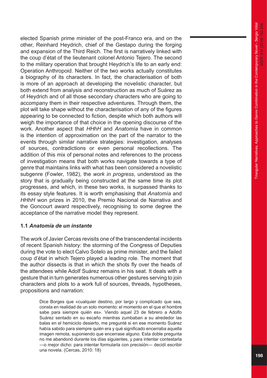elected Spanish prime minister of the post-Franco era, and on the other, Reinhard Heydrich, chief of the Gestapo during the forging and expansion of the Third Reich. The first is narratively linked with the coup d'état of the lieutenant colonel Antonio Tejero. The second to the military operation that brought Heydrich's life to an early end: Operation Anthropoid. Neither of the two works actually constitutes a biography of its characters. In fact, the characterisation of both is more of an approach at developing the novelistic character, but both extend from analysis and reconstruction as much of Suárez as of Heydrich and of all those secondary characters who are going to accompany them in their respective adventures. Through them, the plot will take shape without the characterisation of any of the figures appearing to be connected to fiction, despite which both authors will weigh the importance of that choice in the opening discourse of the work. Another aspect that *HHhH* and *Anatomía* have in common is the intention of approximation on the part of the narrator to the events through similar narrative strategies: investigation, analyses of sources, contradictions or even personal recollections. The addition of this mix of personal notes and references to the process of investigation means that both works navigate towards a type of genre that maintains links with what has been considered a novelistic subgenre (Fowler, 1982), the *work in progress*, understood as the story that is gradually being constructed at the same time its plot progresses, and which, in these two works, is surpassed thanks to its essay style features. It is worth emphasising that *Anatomía* and *HHhH* won prizes in 2010, the Premio Nacional de Narrativa and the Goncourt award respectively, recognising to some degree the acceptance of the narrative model they represent.

#### **1.1** *Anatomía de un instante*

The work of Javier Cercas revisits one of the transcendental incidents of recent Spanish history: the storming of the Congress of Deputies during the vote to elect Calvo Sotelo as prime minister, and the failed coup d'état in which Tejero played a leading role. The moment that the author dissects is that in which the shots fly over the heads of the attendees while Adolf Suárez remains in his seat. It deals with a gesture that in turn generates numerous other gestures serving to join characters and plots to a work full of sources, threads, hypotheses, propositions and narration:

> Dice Borges que «cualquier destino, por largo y complicado que sea, consta en realidad de un solo momento: el momento en el que el hombre sabe para siempre quién es». Viendo aquel 23 de febrero a Adolfo Suárez sentado en su escaño mientras zumbaban a su alrededor las balas en el hemiciclo desierto, me pregunté si en ese momento Suárez había sabido para siempre quién era y qué significado encerraba aquella imagen remota, suponiendo que encerrase alguno. Esta doble pregunta no me abandonó durante los días siguientes, y para intentar contestarla ―o mejor dicho: para intentar formularla con precisión― decidí escribir una novela. (Cercas, 2010: 18)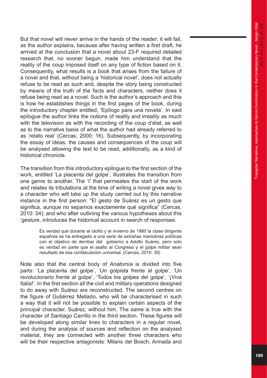But that novel will never arrive in the hands of the reader: it will fail, as the author explains, because after having written a first draft, he arrived at the conclusion that a novel about 23-F required detailed research that, no sooner begun, made him understand that the reality of the coup imposed itself on any type of fiction based on it. Consequently, what results is a book that arises from the failure of a novel and that, without being a 'historical novel', does not actually refuse to be read as such and, despite the story being constructed by means of the truth of the facts and characters, neither does it refuse being read as a novel. Such is the author's approach and this is how he establishes things in the first pages of the book, during the introductory chapter entitled, 'Epílogo para una novela'. In said epilogue the author links the notions of reality and irreality as much with the television as with the recording of the coup d'état, as well as to the narrative basis of what the author had already referred to as 'relato real' (Cercas, 2000: 16). Subsequently, by incorporating the essay of ideas, the causes and consequences of the coup will be analysed allowing the text to be read, additionally, as a kind of historical chronicle.

The transition from this introductory epilogue to the first section of the work, entitled 'La placenta del golpe', illustrates the transition from one genre to another. The 'I' that permeates the start of the work and relates its tribulations at the time of writing a novel gives way to a character who will take up the study carried out by this narrative instance in the first person: "El gesto de Suárez es un gesto que significa, aunque no sepamos exactamente qué significa" (Cercas, 2010: 34); and who after outlining the various hypotheses about this 'gesture, introduces the historical account in search of responses:

> Es verdad que durante el otoño y el invierno de 1980 la clase dirigente española se ha entregado a una serie de extrañas maniobras políticas con el objetivo de derribar del gobierno a Adolfo Suárez, pero solo es verdad en parte que el asalto al Congreso y el golpe militar sean resultado de esa confabulación universal. (Cercas, 2010: 39)

Note also that the central body of *Anatomía* is divided into five parts: 'La placenta del golpe', 'Un golpista frente al golpe', 'Un revolucionario frente al golpe', 'Todos los golpes del golpe', '¡Viva Italia!'. In the first section all the civil and military operations designed to do away with Suárez are reconstructed. The second centres on the figure of Gutiérrez Mellado, who will be characterised in such a way that it will not be possible to explain certain aspects of the principal character, Suárez, without him. The same is true with the character of Santiago Carrillo in the third section. These figures will be developed along similar lines to characters in a regular novel, and during the analysis of sources and reflection on the analysed material, they are connected with another three characters who will be their respective antagonists: Milans del Bosch, Armada and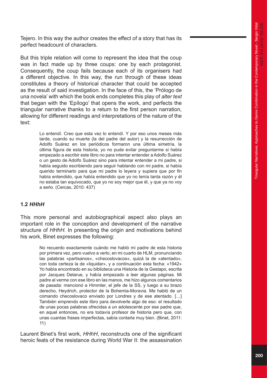Tejero. In this way the author creates the effect of a story that has its perfect headcount of characters.

But this triple relation will come to represent the idea that the coup was in fact made up by three coups: one by each protagonist. Consequently, the coup fails because each of its organisers had a different objective. In this way, the run through of these ideas constitutes a theory of historical character that could be accepted as the result of said investigation. In the face of this, the 'Prólogo de una novela' with which the book ends completes this play of *alter text* that began with the 'Epílogo' that opens the work, and perfects the triangular narrative thanks to a return to the first person narration, allowing for different readings and interpretations of the nature of the text:

> Lo entendí. Creo que esta vez lo entendí. Y por eso unos meses más tarde, cuando su muerte (la del padre del autor) y la resurrección de Adolfo Suárez en los periódicos formaron una última simetría, la última figura de esta historia, yo no pude evitar preguntarme si había empezado a escribir este libro no para intentar entender a Adolfo Suárez o un gesto de Adolfo Suárez sino para intentar entender a mi padre, si había seguido escribiendo para seguir hablando con mi padre, si había querido terminarlo para que mi padre lo leyera y supiera que por fin había entendido, que había entendido que yo no tenía tanta razón y él no estaba tan equivocado, que yo no soy mejor que él, y que ya no voy a serlo. (Cercas, 2010: 437)

#### **1.2** *HHhH*

This more personal and autobiographical aspect also plays an important role in the conception and development of the narrative structure of *HHhH*. In presenting the origin and motivations behind his work, Binet expresses the following:

> No recuerdo exactamente cuándo me habló mi padre de esta historia por primera vez, pero vuelvo a verlo, en mi cuarto de HLM, pronunciando las palabras «partisanos», «checoslovacos», quizá la de «atentado», con toda certeza la de «liquidar», y a continuación esta fecha: «1942» Yo había encontrado en su biblioteca una Historia de la Gestapo, escrita por Jacques Delarue, y había empezado a leer algunas páginas. Mi padre al verme con ese libro en las manos, me hizo algunos comentarios de pasada: mencionó a Himmler, el jefe de la SS, y luego a su brazo derecho, Heydrich, protector de la Bohemia-Moravia. Me habló de un comando checoslovaco enviado por Londres y de ese atentado. […] También emprendo este libro para devolverle algo de eso: el resultado de unas pocas palabras ofrecidas a un adolescente por ese padre que, en aquel entonces, no era todavía profesor de historia pero que, con unas cuantas frases imperfectas, sabía contarla muy bien. (Binet, 2011: 11)

Laurent Binet's first work, *HHhH*, reconstructs one of the significant heroic feats of the resistance during World War II: the assassination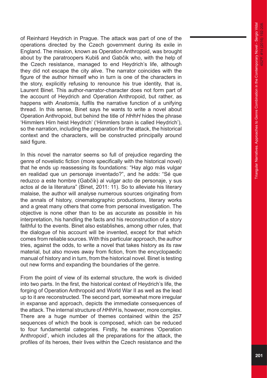of Reinhard Heydrich in Prague. The attack was part of one of the operations directed by the Czech government during its exile in England. The mission, known as Operation Anthropoid, was brought about by the paratroopers Kubiš and Gabčik who, with the help of the Czech resistance, managed to end Heydrich's life, although they did not escape the city alive. The narrator coincides with the figure of the author himself who in turn is one of the characters in the story, explicitly refusing to renounce his true identity, that is, Laurent Binet. This author-narrator-character does not form part of the account of Heydrich and Operation Anthropoid, but rather, as happens with *Anatomía*, fulfils the narrative function of a unifying thread. In this sense, Binet says he wants to write a novel about Operation Anthropoid, but behind the title of *HHhH* hides the phrase 'Himmlers Hirn heist Heydrich' ('Himmlers brain is called Heydrich'), so the narration, including the preparation for the attack, the historical context and the characters, will be constructed principally around said figure.

In this novel the narrator seems so full of prejudice regarding the genre of novelistic fiction (more specifically with the historical novel) that he ends up reassessing its foundations: "Hay algo más vulgar en realidad que un personaje inventado?", and he adds: "Sé que reduzco a este hombre (Gabčik) al vulgar acto de personaje, y sus actos al de la literatura" (Binet, 2011: 11). So to alleviate his literary malaise, the author will analyse numerous sources originating from the annals of history, cinematographic productions, literary works and a great many others that come from personal investigation. The objective is none other than to be as accurate as possible in his interpretation, his handling the facts and his reconstruction of a story faithful to the events. Binet also establishes, among other rules, that the dialogue of his account will be invented, except for that which comes from reliable sources. With this particular approach, the author tries, against the odds, to write a novel that takes history as its raw material, but also moves away from fiction, from the encyclopaedic manual of history and in turn, from the historical novel. Binet is testing out new forms and expanding the boundaries of the genre.

From the point of view of its external structure, the work is divided into two parts. In the first, the historical context of Heydrich's life, the forging of Operation Anthropoid and World War II as well as the lead up to it are reconstructed. The second part, somewhat more irregular in expanse and approach, depicts the immediate consequences of the attack. The internal structure of *HHhH* is, however, more complex. There are a huge number of themes contained within the 257 sequences of which the book is composed, which can be reduced to four fundamental categories. Firstly, he examines 'Operation Anthropoid', which includes all the preparations for the attack, the profiles of its heroes, their lives within the Czech resistance and the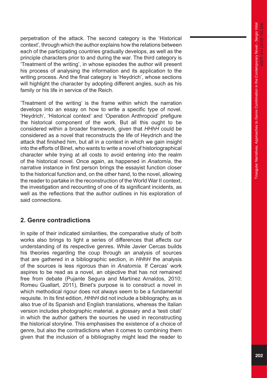perpetration of the attack. The second category is the 'Historical context', through which the author explains how the relations between each of the participating countries gradually develops, as well as the principle characters prior to and during the war. The third category is 'Treatment of the writing', in whose episodes the author will present his process of analysing the information and its application to the writing process. And the final category is 'Heydrich', whose sections will highlight the character by adopting different angles, such as his family or his life in service of the Reich.

'Treatment of the writing' is the frame within which the narration develops into an essay on how to write a specific type of novel. 'Heydrich', 'Historical context' and 'Operation Anthropoid' prefigure the historical component of the work. But all this ought to be considered within a broader framework, given that *HHhH* could be considered as a novel that reconstructs the life of Heydrich and the attack that finished him, but all in a context in which we gain insight into the efforts of Binet, who wants to write a novel of historiographical character while trying at all costs to avoid entering into the realm of the historical novel. Once again, as happened in *Anatomía*, the narrative instance in first person brings the essayist function closer to the historical function and, on the other hand, to the novel, allowing the reader to partake in the reconstruction of the World War II context, the investigation and recounting of one of its significant incidents, as well as the reflections that the author outlines in his exploration of said connections.

## **2. Genre contradictions**

In spite of their indicated similarities, the comparative study of both works also brings to light a series of differences that affects our understanding of its respective genres. While Javier Cercas builds his theories regarding the coup through an analysis of sources that are gathered in a bibliographic section, in *HHhH* the analysis of the sources is less rigorous than in *Anatomía*. If Cercas' work aspires to be read as a novel, an objective that has not remained free from debate (Pujante Segura and Martínez Arnaldos, 2010; Romeu Guallart, 2011), Binet's purpose is to construct a novel in which methodical rigour does not always seem to be a fundamental requisite. In its first edition, *HHhH* did not include a bibliography, as is also true of its Spanish and English translations, whereas the Italian version includes photographic material, a glossary and a 'testi citati' in which the author gathers the sources he used in reconstructing the historical storyline. This emphasises the existence of a choice of genre, but also the contradictions when it comes to combining them given that the inclusion of a bibliography might lead the reader to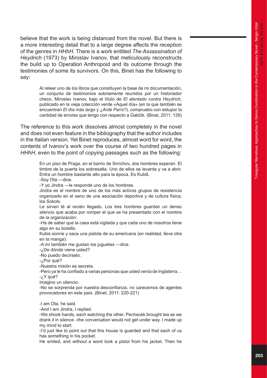believe that the work is being distanced from the novel. But there is a more interesting detail that to a large degree affects the reception of the genres in *HHhH*. There is a work entitled *The Assassination of Heydrich* (1973) by Miroslav Ivanov, that meticulously reconstructs the build up to Operation Anthropoid and its outcome through the testimonies of some its survivors. On this, Binet has the following to say:

> Al releer uno de los libros que constituyen la base de mi documentación, un conjunto de testimonios sobriamente reunidos por un historiador checo, Miroslav Ivanov, bajo el título de *El atentado contra Heydrich*, publicado en la vieja colección verde «Aquel día» (en la que también se encuentran *El día más largo* y *¿Arde París?*), compruebo con estupor la cantidad de errores que tengo con respecto a Gabčik. (Binet, 2011: 129)

The reference to this work dissolves almost completely in the novel and does not even feature in the bibliography that the author includes in the Italian version. Yet Binet reproduces, almost word for word, the contents of Ivanov's work over the course of two hundred pages in *HHhH*, even to the point of copying passages such as the following:

> En un piso de Praga, en el barrio de Smíchov, dos hombres esperan. El timbre de la puerta los sobresalta. Uno de ellos se levanta y va a abrir. Entra un hombre bastante alto para la época. Es Kubiš.

-Soy Ota ―dice.

-Y yo Jindra ―le responde uno de los hombres.

Jindra es el nombre de uno de los más activos grupos de resistencia organizado en el seno de una asociación deportiva y de cultura física, los Sokols.

Le sirven té al recién llegado. Los tres hombres guardan un denso silencio que acaba por romper el que se ha presentado con el nombre de la organización:

-Ha de saber que la casa está vigilada y que cada uno de nosotros tiene algo en su bolsillo.

Kubis sonríe y saca una pistola de su americana (en realidad, lleva otra en la manga):

-A mí también me gustan los juguetes ―dice.

-¿De dónde viene usted?

-No puedo decírselo.

-¿Por qué?

-Nuestra misión es secreta.

-Pero ya le ha confiado a varias personas que usted venía de Inglaterra… -¿Y qué?

Imagino un silencio.

-No se sorprenda por nuestra desconfianza, no carecemos de agentes provocadores en este país. (Binet, 2011: 220-221)

-I am Ota, he said.

-And I am Jindra, I replied.

-We shook hands, each watching the other, Pechacek brought tea as we drank it in silence –the conversation would not get under way. I made up my mind to start.

-I'd just like to point out that this house is guarded and that each of us has something in his pocket.

He smiled, and without a word took a pistol from his jacket. Then he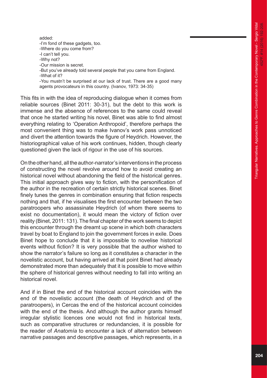added: -I'm fond of these gadgets, too. -Where do you come from? -I can't tell you. -Why not? -Our mission is secret. -But you've already told several people that you came from England. -What of it? -You mustn't be surprised at our lack of trust. There are a good many agents provocateurs in this country. (Ivanov, 1973: 34-35)

This fits in with the idea of reproducing dialogue when it comes from reliable sources (Binet 2011: 30-31), but the debt to this work is immense and the absence of references to the same could reveal that once he started writing his novel, Binet was able to find almost everything relating to 'Operation Anthropoid', therefore perhaps the most convenient thing was to make Ivanov's work pass unnoticed and divert the attention towards the figure of Heydrich. However, the historiographical value of his work continues, hidden, though clearly questioned given the lack of rigour in the use of his sources.

On the other hand, all the author-narrator's interventions in the process of constructing the novel revolve around how to avoid creating an historical novel without abandoning the field of the historical genres. This initial approach gives way to fiction, with the personification of the author in the recreation of certain strictly historical scenes. Binet finely tunes the genres in combination ensuring that fiction respects nothing and that, if he visualises the first encounter between the two paratroopers who assassinate Heydrich (of whom there seems to exist no documentation), it would mean the victory of fiction over reality (Binet, 2011: 131). The final chapter of the work seems to depict this encounter through the dreamt up scene in which both characters travel by boat to England to join the government forces in exile. Does Binet hope to conclude that it is impossible to novelise historical events without fiction? It is very possible that the author wished to show the narrator's failure so long as it constitutes a character in the novelistic account, but having arrived at that point Binet had already demonstrated more than adequately that it is possible to move within the sphere of historical genres without needing to fall into writing an historical novel.

And if in Binet the end of the historical account coincides with the end of the novelistic account (the death of Heydrich and of the paratroopers), in Cercas the end of the historical account coincides with the end of the thesis. And although the author grants himself irregular stylistic licences one would not find in historical texts, such as comparative structures or redundancies, it is possible for the reader of *Anatomía* to encounter a lack of alternation between narrative passages and descriptive passages, which represents, in a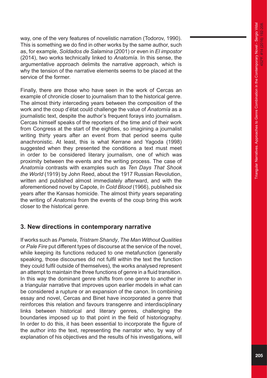way, one of the very features of novelistic narration (Todorov, 1990). This is something we do find in other works by the same author, such as, for example, *Soldados de Salamina* (2001) or even in *El impostor* (2014), two works technically linked to *Anatomía*. In this sense, the argumentative approach delimits the narrative approach, which is why the tension of the narrative elements seems to be placed at the service of the former.

Finally, there are those who have seen in the work of Cercas an example of chronicle closer to journalism than to the historical genre. The almost thirty interceding years between the composition of the work and the coup d'état could challenge the value of *Anatomía* as a journalistic text, despite the author's frequent forays into journalism. Cercas himself speaks of the reporters of the time and of their work from Congress at the start of the eighties, so imagining a journalist writing thirty years after an event from that period seems quite anachronistic. At least, this is what Kerrane and Yagoda (1998) suggested when they presented the conditions a text must meet in order to be considered literary journalism, one of which was proximity between the events and the writing process. The case of *Anatomía* contrasts with examples such as *Ten Days That Shook the World* (1919) by John Reed, about the 1917 Russian Revolution, written and published almost immediately afterward, and with the aforementioned novel by Capote, *In Cold Blood* (1966), published six years after the Kansas homicide. The almost thirty years separating the writing of *Anatomía* from the events of the coup bring this work closer to the historical genre.

### **3. New directions in contemporary narrative**

If works such as *Pamela*, *Tristram Shandy*, *The Man Without Qualities* or *Pale Fire* put different types of discourse at the service of the novel, while keeping its functions reduced to one metafunction (generally speaking, those discourses did not fulfil within the text the function they could fulfil outside of themselves), the works analysed represent an attempt to maintain the three functions of genre in a fluid transition. In this way the dominant genre shifts from one genre to another in a triangular narrative that improves upon earlier models in what can be considered a rupture or an expansion of the canon. In combining essay and novel, Cercas and Binet have incorporated a genre that reinforces this relation and favours transgenre and interdisciplinary links between historical and literary genres, challenging the boundaries imposed up to that point in the field of historiography. In order to do this, it has been essential to incorporate the figure of the author into the text, representing the narrator who, by way of explanation of his objectives and the results of his investigations, will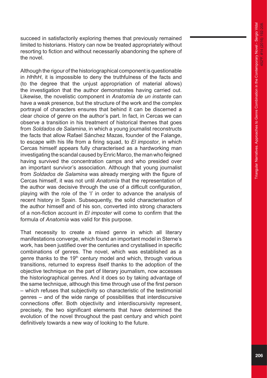succeed in satisfactorily exploring themes that previously remained limited to historians. History can now be treated appropriately without resorting to fiction and without necessarily abandoning the sphere of the novel.

Although the rigour of the historiographical component is questionable in *HHhH*, it is impossible to deny the truthfulness of the facts and (to the degree that the unjust appropriation of material allows) the investigation that the author demonstrates having carried out. Likewise, the novelistic component in *Anatomía de un instante* can have a weak presence, but the structure of the work and the complex portrayal of characters ensures that behind it can be discerned a clear choice of genre on the author's part. In fact, in Cercas we can observe a transition in his treatment of historical themes that goes from *Soldados de Salamina*, in which a young journalist reconstructs the facts that allow Rafael Sánchez Mazas, founder of the Falange, to escape with his life from a firing squad, to *El impostor*, in which Cercas himself appears fully characterised as a hardworking man investigating the scandal caused by Enric Marco, the man who feigned having survived the concentration camps and who presided over an important survivor's association. Although that young journalist from *Soldados de Salamina* was already merging with the figure of Cercas himself, it was not until *Anatomía* that the representation of the author was decisive through the use of a difficult configuration, playing with the role of the 'I' in order to advance the analysis of recent history in Spain. Subsequently, the solid characterisation of the author himself and of his son, converted into strong characters of a non-fiction account in *El imposter* will come to confirm that the formula of *Anatomía* was valid for this purpose.

That necessity to create a mixed genre in which all literary manifestations converge, which found an important model in Sterne's work, has been justified over the centuries and crystallised in specific combinations of genres. The novel, which was established as a genre thanks to the 19<sup>th</sup> century model and which, through various transitions, returned to express itself thanks to the adoption of the objective technique on the part of literary journalism, now accesses the historiographical genres. And it does so by taking advantage of the same technique, although this time through use of the first person – which refuses that subjectivity so characteristic of the testimonial genres – and of the wide range of possibilities that interdiscursive connections offer. Both objectivity and interdiscursivity represent, precisely, the two significant elements that have determined the evolution of the novel throughout the past century and which point definitively towards a new way of looking to the future.